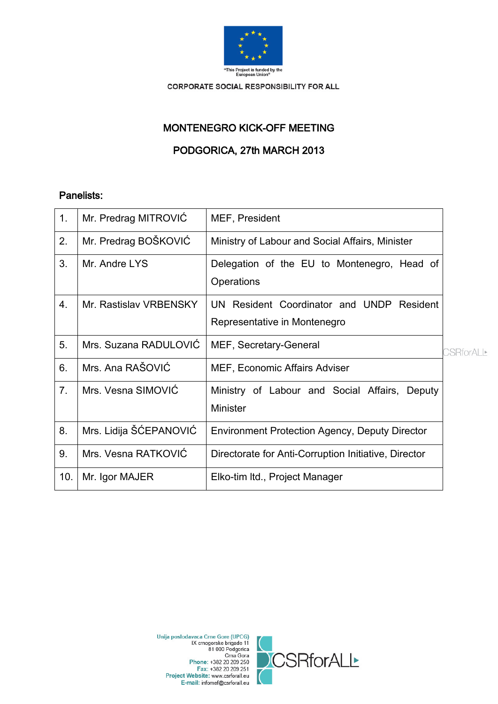

# MONTENEGRO KICK-OFF MEETING

PODGORICA, 27th MARCH 2013

# Panelists:

| 1.  | Mr. Predrag MITROVIC   | MEF, President                                                   |                   |
|-----|------------------------|------------------------------------------------------------------|-------------------|
| 2.  | Mr. Predrag BOŠKOVIĆ   | Ministry of Labour and Social Affairs, Minister                  |                   |
| 3.  | Mr. Andre LYS          | Delegation of the EU to Montenegro, Head of<br>Operations        |                   |
| 4.  | Mr. Rastislav VRBENSKY | UN Resident Coordinator and UNDP Resident                        |                   |
|     |                        | Representative in Montenegro                                     |                   |
| 5.  | Mrs. Suzana RADULOVIC  | MEF, Secretary-General                                           | <b>CSRforALL*</b> |
| 6.  | Mrs. Ana RAŠOVIĆ       | MEF, Economic Affairs Adviser                                    |                   |
| 7.  | Mrs. Vesna SIMOVIĆ     | Ministry of Labour and Social Affairs, Deputy<br><b>Minister</b> |                   |
| 8.  | Mrs. Lidija ŠĆEPANOVIĆ | <b>Environment Protection Agency, Deputy Director</b>            |                   |
| 9.  | Mrs. Vesna RATKOVIC    | Directorate for Anti-Corruption Initiative, Director             |                   |
| 10. | Mr. Igor MAJER         | Elko-tim Itd., Project Manager                                   |                   |

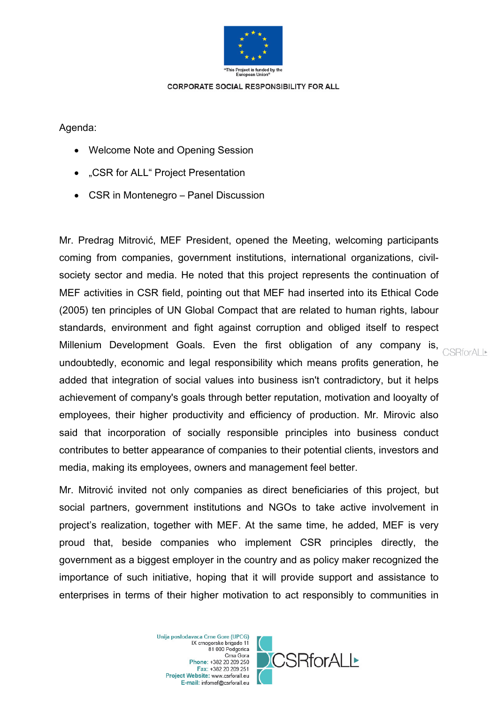

Agenda:

- Welcome Note and Opening Session
- "CSR for ALL" Project Presentation
- CSR in Montenegro Panel Discussion

Mr. Predrag Mitrović, MEF President, opened the Meeting, welcoming participants coming from companies, government institutions, international organizations, civilsociety sector and media. He noted that this project represents the continuation of MEF activities in CSR field, pointing out that MEF had inserted into its Ethical Code (2005) ten principles of UN Global Compact that are related to human rights, labour standards, environment and fight against corruption and obliged itself to respect Millenium Development Goals. Even the first obligation of any company is, CSRforALL undoubtedly, economic and legal responsibility which means profits generation, he added that integration of social values into business isn't contradictory, but it helps achievement of company's goals through better reputation, motivation and looyalty of employees, their higher productivity and efficiency of production. Mr. Mirovic also said that incorporation of socially responsible principles into business conduct contributes to better appearance of companies to their potential clients, investors and media, making its employees, owners and management feel better.

Mr. Mitrović invited not only companies as direct beneficiaries of this project, but social partners, government institutions and NGOs to take active involvement in project's realization, together with MEF. At the same time, he added, MEF is very proud that, beside companies who implement CSR principles directly, the government as a biggest employer in the country and as policy maker recognized the importance of such initiative, hoping that it will provide support and assistance to enterprises in terms of their higher motivation to act responsibly to communities in

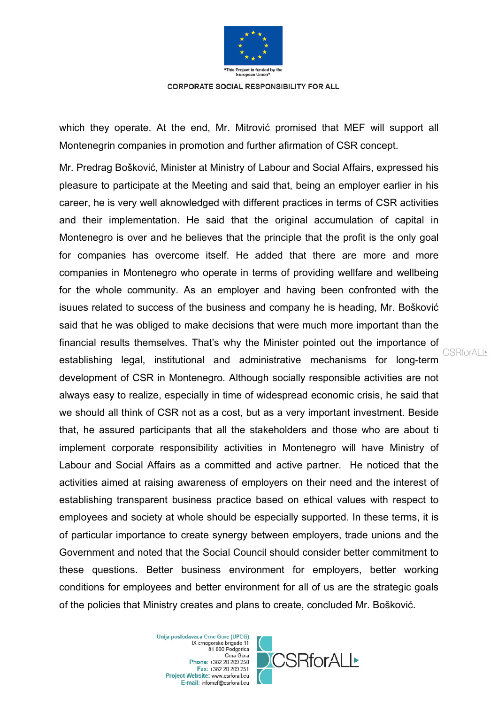

which they operate. At the end, Mr. Mitrović promised that MEF will support all Montenegrin companies in promotion and further afirmation of CSR concept.

Mr. Predrag Bošković, Minister at Ministry of Labour and Social Affairs, expressed his pleasure to participate at the Meeting and said that, being an employer earlier in his career, he is very well aknowledged with different practices in terms of CSR activities and their implementation. He said that the original accumulation of capital in Montenegro is over and he believes that the principle that the profit is the only goal for companies has overcome itself. He added that there are more and more companies in Montenegro who operate in terms of providing wellfare and wellbeing for the whole community. As an employer and having been confronted with the isuues related to success of the business and company he is heading, Mr. Bošković said that he was obliged to make decisions that were much more important than the financial results themselves. That's why the Minister pointed out the importance of establishing legal, institutional and administrative mechanisms for long-term development of CSR in Montenegro. Although socially responsible activities are not always easy to realize, especially in time of widespread economic crisis, he said that we should all think of CSR not as a cost, but as a very important investment. Beside that, he assured participants that all the stakeholders and those who are about ti implement corporate responsibility activities in Montenegro will have Ministry of Labour and Social Affairs as a committed and active partner. He noticed that the activities aimed at raising awareness of employers on their need and the interest of establishing transparent business practice based on ethical values with respect to employees and society at whole should be especially supported. In these terms, it is of particular importance to create synergy between employers, trade unions and the Government and noted that the Social Council should consider better commitment to these questions. Better business environment for employers, better working conditions for employees and better environment for all of us are the strategic goals of the policies that Ministry creates and plans to create, concluded Mr. Bošković.

> Unija poslodavaca Crne Gore (UPCG) IX crnogorske brigade 11 81 000 Podgorica Crna Gora Phone: +382 20 209 250 Fax: +382 20 209 251 Project Website: www.csrforall.eu E-mail: infomef@csrforall.eu



CSRforALI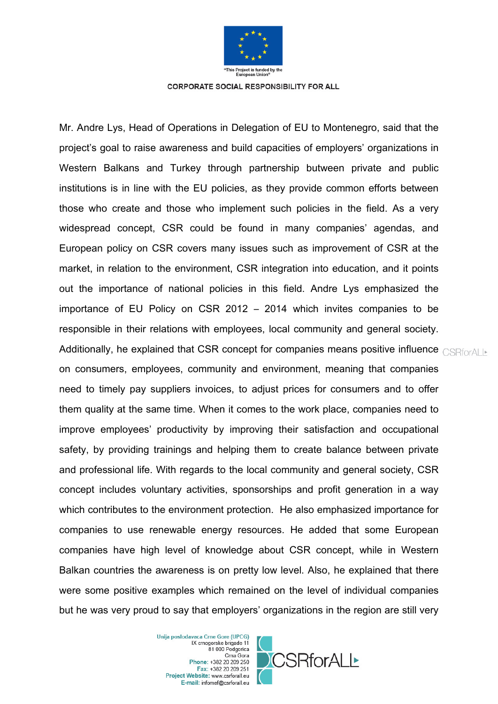

Mr. Andre Lys, Head of Operations in Delegation of EU to Montenegro, said that the project's goal to raise awareness and build capacities of employers' organizations in Western Balkans and Turkey through partnership butween private and public institutions is in line with the EU policies, as they provide common efforts between those who create and those who implement such policies in the field. As a very widespread concept, CSR could be found in many companies' agendas, and European policy on CSR covers many issues such as improvement of CSR at the market, in relation to the environment, CSR integration into education, and it points out the importance of national policies in this field. Andre Lys emphasized the importance of EU Policy on CSR 2012 – 2014 which invites companies to be responsible in their relations with employees, local community and general society. Additionally, he explained that CSR concept for companies means positive influence  $\text{CSRford}$ on consumers, employees, community and environment, meaning that companies need to timely pay suppliers invoices, to adjust prices for consumers and to offer them quality at the same time. When it comes to the work place, companies need to improve employees' productivity by improving their satisfaction and occupational safety, by providing trainings and helping them to create balance between private and professional life. With regards to the local community and general society, CSR concept includes voluntary activities, sponsorships and profit generation in a way which contributes to the environment protection. He also emphasized importance for companies to use renewable energy resources. He added that some European companies have high level of knowledge about CSR concept, while in Western Balkan countries the awareness is on pretty low level. Also, he explained that there were some positive examples which remained on the level of individual companies but he was very proud to say that employers' organizations in the region are still very

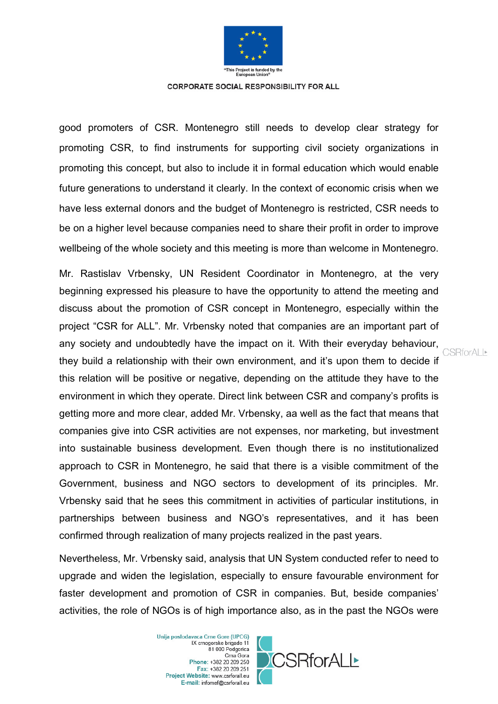

good promoters of CSR. Montenegro still needs to develop clear strategy for promoting CSR, to find instruments for supporting civil society organizations in promoting this concept, but also to include it in formal education which would enable future generations to understand it clearly. In the context of economic crisis when we have less external donors and the budget of Montenegro is restricted, CSR needs to be on a higher level because companies need to share their profit in order to improve wellbeing of the whole society and this meeting is more than welcome in Montenegro.

Mr. Rastislav Vrbensky, UN Resident Coordinator in Montenegro, at the very beginning expressed his pleasure to have the opportunity to attend the meeting and discuss about the promotion of CSR concept in Montenegro, especially within the project "CSR for ALL". Mr. Vrbensky noted that companies are an important part of any society and undoubtedly have the impact on it. With their everyday behaviour, they build a relationship with their own environment, and it's upon them to decide if this relation will be positive or negative, depending on the attitude they have to the environment in which they operate. Direct link between CSR and company's profits is getting more and more clear, added Mr. Vrbensky, aa well as the fact that means that companies give into CSR activities are not expenses, nor marketing, but investment into sustainable business development. Even though there is no institutionalized approach to CSR in Montenegro, he said that there is a visible commitment of the Government, business and NGO sectors to development of its principles. Mr. Vrbensky said that he sees this commitment in activities of particular institutions, in partnerships between business and NGO's representatives, and it has been confirmed through realization of many projects realized in the past years.

Nevertheless, Mr. Vrbensky said, analysis that UN System conducted refer to need to upgrade and widen the legislation, especially to ensure favourable environment for faster development and promotion of CSR in companies. But, beside companies' activities, the role of NGOs is of high importance also, as in the past the NGOs were

> Unija poslodavaca Crne Gore (UPCG) IX crnogorske brigade 11 81 000 Podgorica Crna Gora Phone: +382 20 209 250 Fax: +382 20 209 251 Project Website: www.csrforall.eu E-mail: infomef@csrforall.eu



**CSRforALL**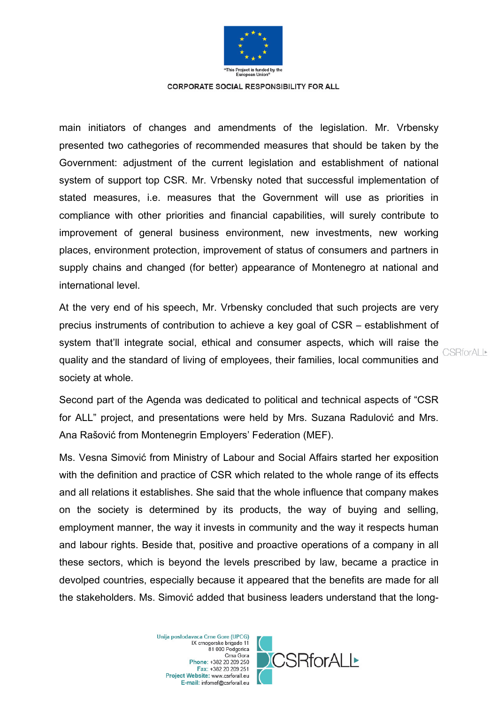

main initiators of changes and amendments of the legislation. Mr. Vrbensky presented two cathegories of recommended measures that should be taken by the Government: adjustment of the current legislation and establishment of national system of support top CSR. Mr. Vrbensky noted that successful implementation of stated measures, i.e. measures that the Government will use as priorities in compliance with other priorities and financial capabilities, will surely contribute to improvement of general business environment, new investments, new working places, environment protection, improvement of status of consumers and partners in supply chains and changed (for better) appearance of Montenegro at national and international level.

At the very end of his speech, Mr. Vrbensky concluded that such projects are very precius instruments of contribution to achieve a key goal of CSR – establishment of system that'll integrate social, ethical and consumer aspects, which will raise the quality and the standard of living of employees, their families, local communities and society at whole.

Second part of the Agenda was dedicated to political and technical aspects of "CSR for ALL" project, and presentations were held by Mrs. Suzana Radulović and Mrs. Ana Rašović from Montenegrin Employers' Federation (MEF).

Ms. Vesna Simović from Ministry of Labour and Social Affairs started her exposition with the definition and practice of CSR which related to the whole range of its effects and all relations it establishes. She said that the whole influence that company makes on the society is determined by its products, the way of buying and selling, employment manner, the way it invests in community and the way it respects human and labour rights. Beside that, positive and proactive operations of a company in all these sectors, which is beyond the levels prescribed by law, became a practice in devolped countries, especially because it appeared that the benefits are made for all the stakeholders. Ms. Simović added that business leaders understand that the long-

> Unija poslodavaca Crne Gore (UPCG) IX crnogorske brigade 11 81 000 Podgorica Crna Gora Phone: +382 20 209 250 Fax: +382 20 209 251 Project Website: www.csrforall.eu E-mail: infomef@csrforall.eu



**CSRforALL**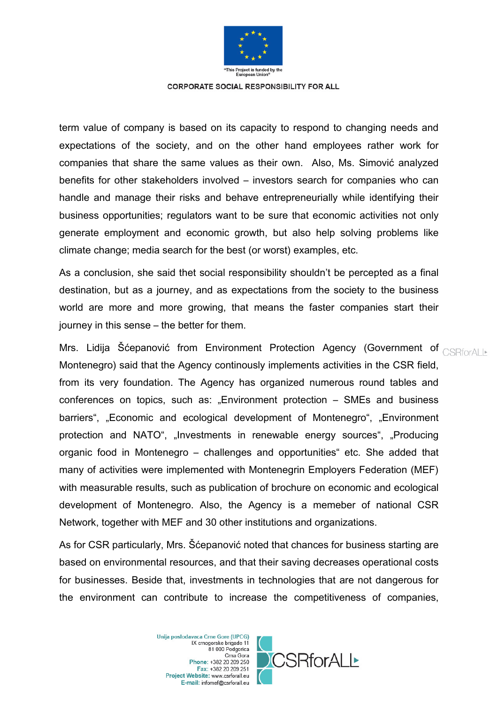

term value of company is based on its capacity to respond to changing needs and expectations of the society, and on the other hand employees rather work for companies that share the same values as their own. Also, Ms. Simović analyzed benefits for other stakeholders involved – investors search for companies who can handle and manage their risks and behave entrepreneurially while identifying their business opportunities; regulators want to be sure that economic activities not only generate employment and economic growth, but also help solving problems like climate change; media search for the best (or worst) examples, etc.

As a conclusion, she said thet social responsibility shouldn't be percepted as a final destination, but as a journey, and as expectations from the society to the business world are more and more growing, that means the faster companies start their journey in this sense – the better for them.

Mrs. Lidija Šćepanović from Environment Protection Agency (Government of CSRforALI-Montenegro) said that the Agency continously implements activities in the CSR field, from its very foundation. The Agency has organized numerous round tables and conferences on topics, such as: "Environment protection – SMEs and business barriers", "Economic and ecological development of Montenegro", "Environment protection and NATO", "Investments in renewable energy sources", "Producing organic food in Montenegro – challenges and opportunities" etc. She added that many of activities were implemented with Montenegrin Employers Federation (MEF) with measurable results, such as publication of brochure on economic and ecological development of Montenegro. Also, the Agency is a memeber of national CSR Network, together with MEF and 30 other institutions and organizations.

As for CSR particularly, Mrs. Šćepanović noted that chances for business starting are based on environmental resources, and that their saving decreases operational costs for businesses. Beside that, investments in technologies that are not dangerous for the environment can contribute to increase the competitiveness of companies,

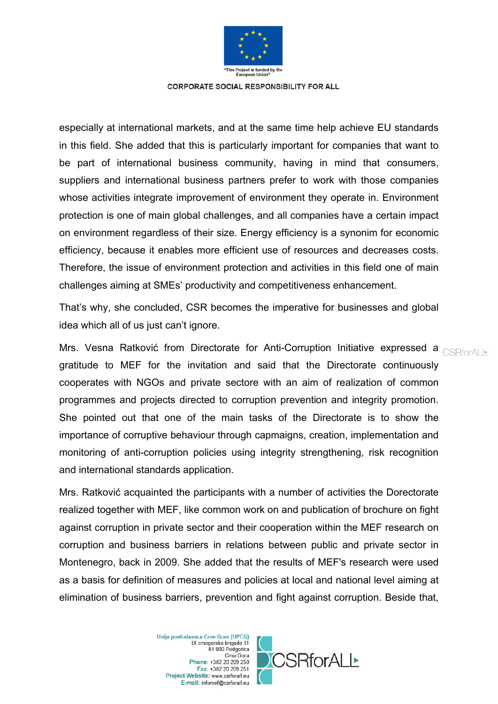

especially at international markets, and at the same time help achieve EU standards in this field. She added that this is particularly important for companies that want to be part of international business community, having in mind that consumers, suppliers and international business partners prefer to work with those companies whose activities integrate improvement of environment they operate in. Environment protection is one of main global challenges, and all companies have a certain impact on environment regardless of their size. Energy efficiency is a synonim for economic efficiency, because it enables more efficient use of resources and decreases costs. Therefore, the issue of environment protection and activities in this field one of main challenges aiming at SMEs' productivity and competitiveness enhancement.

That's why, she concluded, CSR becomes the imperative for businesses and global idea which all of us just can't ignore.

Mrs. Vesna Ratković from Directorate for Anti-Corruption Initiative expressed a CSRforALE gratitude to MEF for the invitation and said that the Directorate continuously cooperates with NGOs and private sectore with an aim of realization of common programmes and projects directed to corruption prevention and integrity promotion. She pointed out that one of the main tasks of the Directorate is to show the importance of corruptive behaviour through capmaigns, creation, implementation and monitoring of anti-corruption policies using integrity strengthening, risk recognition and international standards application.

Mrs. Ratković acquainted the participants with a number of activities the Dorectorate realized together with MEF, like common work on and publication of brochure on fight against corruption in private sector and their cooperation within the MEF research on corruption and business barriers in relations between public and private sector in Montenegro, back in 2009. She added that the results of MEF's research were used as a basis for definition of measures and policies at local and national level aiming at elimination of business barriers, prevention and fight against corruption. Beside that,